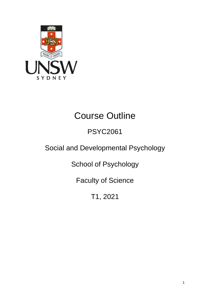

# Course Outline

# PSYC2061

# Social and Developmental Psychology

School of Psychology

Faculty of Science

T1, 2021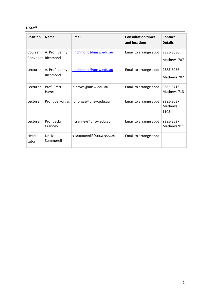# **1. Staff**

| <b>Position</b>    | <b>Name</b>                | <b>Email</b>            | <b>Consultation times</b><br>and locations | Contact<br><b>Details</b>    |
|--------------------|----------------------------|-------------------------|--------------------------------------------|------------------------------|
| Course<br>Convenor | A. Prof. Jenny<br>Richmond | j.richmond@unsw.edu.au  | Email to arrange appt                      | 9385-3036<br>Mathews 707     |
| Lecturer           | A. Prof. Jenny<br>Richmond | j.richmond@unsw.edu.au  | Email to arrange appt                      | 9385-3036<br>Mathews 707     |
| Lecturer           | Prof. Brett<br>Hayes       | b.hayes@unsw.edu.au     | Email to arrange appt                      | 9385-3713<br>Mathews 713     |
| Lecturer           | Prof. Joe Forgas           | jp.forgas@unsw.edu.au   | Email to arrange appt                      | 9385-3037<br>Mathews<br>1105 |
| Lecturer           | Prof. Jacky<br>Cranney     | j.cranney@unsw.edu.au   | Email to arrange appt                      | 9385-3527<br>Mathews 911     |
| Head<br>tutor      | Dr Liz<br>Summerell        | e.summerell@unsw.edu.au | Email to arrange appt                      |                              |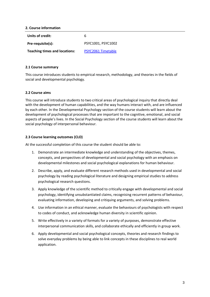# **2. Course information**

| Units of credit:                     | 6                  |
|--------------------------------------|--------------------|
| Pre-requisite(s):                    | PSYC1001. PSYC1002 |
| <b>Teaching times and locations:</b> | PSYC2061 Timetable |

# **2.1 Course summary**

This course introduces students to empirical research, methodology, and theories in the fields of social and developmental psychology.

# **2.2 Course aims**

This course will introduce students to two critical areas of psychological inquiry that directly deal with the development of human capabilities, and the way humans interact with, and are influenced by each other. In the Developmental Psychology section of the course students will learn about the development of psychological processes that are important to the cognitive, emotional, and social aspects of people's lives. In the Social Psychology section of the course students will learn about the social psychology of interpersonal behaviour.

# **2.3 Course learning outcomes (CLO)**

At the successful completion of this course the student should be able to:

- 1. Demonstrate an intermediate knowledge and understanding of the objectives, themes, concepts, and perspectives of developmental and social psychology with an emphasis on developmental milestones and social psychological explanations for human behaviour.
- 2. Describe, apply, and evaluate different research methods used in developmental and social psychology by reading psychological literature and designing empirical studies to address psychological research questions.
- 3. Apply knowledge of the scientific method to critically engage with developmental and social psychology, identifying unsubstantiated claims, recognising recurrent patterns of behaviour, evaluating information, developing and critiquing arguments, and solving problems.
- 4. Use information in an ethical manner, evaluate the behaviours of psychologists with respect to codes of conduct, and acknowledge human diversity in scientific opinion.
- 5. Write effectively in a variety of formats for a variety of purposes, demonstrate effective interpersonal communication skills, and collaborate ethically and efficiently in group work.
- 6. Apply developmental and social psychological concepts, theories and research findings to solve everyday problems by being able to link concepts in these disciplines to real world application.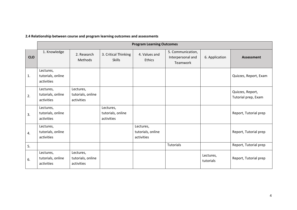| 2.4 Relationship between course and program learning outcomes and assessments |  |  |
|-------------------------------------------------------------------------------|--|--|
|-------------------------------------------------------------------------------|--|--|

|            | <b>Program Learning Outcomes</b>             |                                              |                                              |                                              |                                                    |                        |                                         |
|------------|----------------------------------------------|----------------------------------------------|----------------------------------------------|----------------------------------------------|----------------------------------------------------|------------------------|-----------------------------------------|
| <b>CLO</b> | 1. Knowledge                                 | 2. Research<br><b>Methods</b>                | 3. Critical Thinking<br><b>Skills</b>        | 4. Values and<br><b>Ethics</b>               | 5. Communication,<br>Interpersonal and<br>Teamwork | 6. Application         | Assessment                              |
| 1.         | Lectures,<br>tutorials, online<br>activities |                                              |                                              |                                              |                                                    |                        | Quizzes, Report, Exam                   |
| 2.         | Lectures,<br>tutorials, online<br>activities | Lectures,<br>tutorials, online<br>activities |                                              |                                              |                                                    |                        | Quizzes, Report,<br>Tutorial prep, Exam |
| 3.         | Lectures,<br>tutorials, online<br>activities |                                              | Lectures,<br>tutorials, online<br>activities |                                              |                                                    |                        | Report, Tutorial prep                   |
| 4.         | Lectures,<br>tutorials, online<br>activities |                                              |                                              | Lectures,<br>tutorials, online<br>activities |                                                    |                        | Report, Tutorial prep                   |
| 5.         |                                              |                                              |                                              |                                              | Tutorials                                          |                        | Report, Tutorial prep                   |
| 6.         | Lectures,<br>tutorials, online<br>activities | Lectures,<br>tutorials, online<br>activities |                                              |                                              |                                                    | Lectures,<br>tutorials | Report, Tutorial prep                   |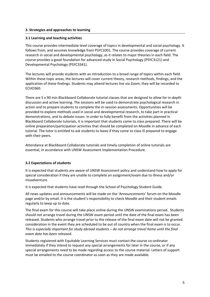# **3. Strategies and approaches to learning**

# **3.1 Learning and teaching activities**

This course provides intermediate level coverage of topics in developmental and social psychology. It follows from, and assumes knowledge from PSYC1001. The course provides coverage of current research in social and developmental psychology, as it relates to major theories in each field. The course provides a good foundation for advanced study in Social Psychology (PSYC3121) and Developmental Psychology (PSYC3341).

The lectures will provide students with an introduction to a broad range of topics within each field. Within these topic areas, the lectures will cover current theory, research methods, findings, and the application of these findings. Students may attend lectures live via Zoom; they will be recorded to ECHO360.

There are 5 x 90 min Blackboard Collaborate tutorial classes that are designed to allow for in-depth discussion and active learning. The sessions will be used to demonstrate psychological research in action and to prepare students to complete the in-session assessments. Opportunities will be provided to explore methods used in social and developmental research, to take part in practical demonstrations, and to debate issues. In order to fully benefit from the activities planned in Blackboard Collaborate tutorials, it is important that students come to class prepared. There will be online preparation/participation activities that should be completed on Moodle in advance of each tutorial. The tutor is entitled to ask students to leave if they come to class ill prepared to engage with their peers.

Attendance at Blackboard Collaborate tutorials and timely completion of online tutorials are essential, in accordance with UNSW Assessment Implementation Procedure.

# **3.2 Expectations of students**

It is expected that students are aware of UNSW Assessment policy and understand how to apply for special consideration if they are unable to complete an assignment/exam due to illness and/or misadventure.

It is expected that students have read through the School of Psychology Student Guide.

All news updates and announcements will be made on the 'Announcements' forum on the Moodle page and/or by email. It is the student's responsibility to check Moodle and their student emails regularly to keep up to date.

The final exam for this course will take place online during the UNSW examinations period. Students should not arrange travel during the UNSW exam period until the date of the final exam has been released. Students who arrange travel prior to the release of the final exam date will not be granted consideration in the event they are scheduled to be out of country when the final exam is to occur. *This is especially important for study abroad students – do not arrange travel home until the final exam date has been released.*

Students registered with Equitable Learning Services must contact the course co-ordinator immediately if they intend to request any special arrangements for later in the course, or if any special arrangements need to be made regarding access to the course material. Letters of support must be emailed to the course coordinator as soon as they are made available.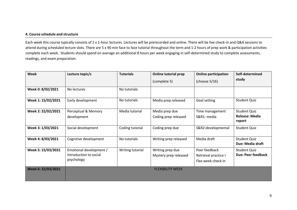# **4. Course schedule and structure**

Each week this course typically consists of 2 x 1-hour lectures. Lectures will be prerecorded and online. There will be live check-in and Q&A sessions to attend during scheduled lecture slots. There are 5 x 90 min face to face tutorial throughout the term and 1-2 hours of prep work & participation activities complete each week. Students should spend on average an additional 8 hours per week engaging in self-determined study to complete assessments, readings, and exam preparation.

| Week               | Lecture topic/s                                                 | <b>Tutorials</b> | <b>Online tutorial prep</b>               | <b>Online participation</b>                                 | Self-determined                           |
|--------------------|-----------------------------------------------------------------|------------------|-------------------------------------------|-------------------------------------------------------------|-------------------------------------------|
|                    |                                                                 |                  | (complete 5)                              | (choose $5/16$ )                                            | study                                     |
| Week 0: 8/02/2021  | No lectures                                                     | No tutorials     |                                           |                                                             |                                           |
| Week 1: 15/02/2021 | Early development                                               | No tutorials     | Media prep released                       | Goal setting                                                | Student Quiz                              |
| Week 2: 22/02/2021 | Perceptual & Memory<br>development                              | Media tutorial   | Media prep due<br>Coding prep released    | Time management<br>S&R1: media                              | Student Quiz<br>Release: Media<br>report  |
| Week 3: 1/03/2021  | Social development                                              | Coding tutorial  | Coding prep due                           | S&R2:developmental                                          | Student Quiz                              |
| Week 4: 8/03/2021  | Cognitive development                                           | No tutorials     | Writing prep released                     | Media draft                                                 | <b>Student Quiz</b><br>Due: Media draft   |
| Week 5: 15/03/2021 | Emotional development /<br>Introduction to social<br>psychology | Writing tutorial | Writing prep due<br>Mystery prep released | Peer feedback<br>Retrieval practice I<br>Flex week check in | <b>Student Quiz</b><br>Due: Peer feedback |
| Week 6: 22/03/2021 |                                                                 |                  | <b>FLEXIBILITY WEEK</b>                   |                                                             |                                           |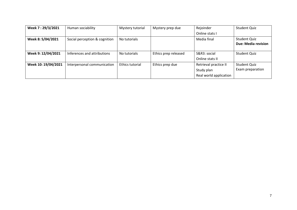| Week 7:29/3/2021    | Human sociability             | Mystery tutorial | Mystery prep due     | Rejoinder              | Student Quiz        |
|---------------------|-------------------------------|------------------|----------------------|------------------------|---------------------|
|                     |                               |                  |                      | Online stats I         |                     |
| Week 8: 5/04/2021   | Social perception & cognition | No tutorials     |                      | Media final            | <b>Student Quiz</b> |
|                     |                               |                  |                      |                        | Due: Media revision |
|                     |                               |                  |                      |                        |                     |
| Week 9: 12/04/2021  | Inferences and attributions   | No tutorials     | Ethics prep released | S&R3: social           | Student Quiz        |
|                     |                               |                  |                      | Online stats II        |                     |
| Week 10: 19/04/2021 | Interpersonal communication   | Ethics tutorial  | Ethics prep due      | Retrieval practice II  | Student Quiz        |
|                     |                               |                  |                      | Study plan             | Exam preparation    |
|                     |                               |                  |                      | Real world application |                     |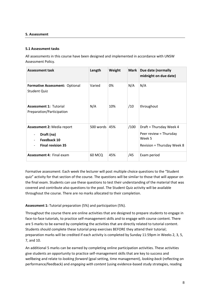# **5. Assessment**

# **5.1 Assessment tasks**

All assessments in this course have been designed and implemented in accordance with UNSW Assessment Policy.

| <b>Assessment task</b>                                                                     | Length    | Weight | <b>Mark</b> | Due date (normally<br>midnight on due date)                                               |
|--------------------------------------------------------------------------------------------|-----------|--------|-------------|-------------------------------------------------------------------------------------------|
| <b>Formative Assessment: Optional</b><br><b>Student Quiz</b>                               | Varied    | 0%     | N/A         | N/A                                                                                       |
| <b>Assessment 1: Tutorial</b><br>Preparation/Participation                                 | N/A       | 10%    | /10         | throughout                                                                                |
| <b>Assessment 2: Media report</b><br>Draft (na)<br>Feedback 10<br><b>Final revision 35</b> | 500 words | 45%    | /100        | Draft = Thursday Week 4<br>Peer review = Thursday<br>Week 5<br>Revision = Thursday Week 8 |
| <b>Assessment 4: Final exam</b>                                                            | 60 MCQ    | 45%    | /45         | Exam period                                                                               |

Formative assessment: Each week the lecturer will post multiple choice questions to the "Student quiz" activity for that section of the course. The questions will be similar to those that will appear on the final exam. Students can use these questions to test their understanding of the material that was covered and contribute also questions to the pool. The Student Quiz activity will be available throughout the course. There are no marks allocated to their completion.

# **Assessment 1:** Tutorial preparation (5%) and participation (5%).

Throughout the course there are online activities that are designed to prepare students to engage in face-to-face tutorials, to practice self-management skills and to engage with course content. There are 5 marks to be earned by completing the activities that are directly related to tutorial content. Students should complete these tutorial prep exercises BEFORE they attend their tutorial; preparation marks will be credited if each activity is completed by Sunday 11:59pm in Weeks 2, 3, 5, 7, and 10.

An additional 5 marks can be earned by completing online participation activities. These activities give students an opportunity to practice self-management skills that are key to success and wellbeing and relate to *looking forward* (goal setting, time management), *looking back* (reflecting on performance/feedback) and *engaging with content* (using evidence-based study strategies, reading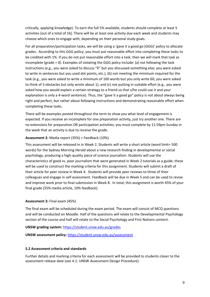critically, applying knowledge). To earn the full 5% available, students should complete at least 5 activities (out of a total of 16). There will be at least one activity due each week and students may choose which ones to engage with, depending on their personal study goals.

For all preparation/participation tasks, we will be using a 'gave it a good go (GGG)' policy to allocate grades. According to this GGG policy, you must put reasonable effort into completing these tasks to be credited with 1%. If you do not put reasonable effort into a task, then we will mark that task as incomplete (grade = 0). Examples of violating the GGG policy include: (a) not following the task instructions (e.g., you were asked to discuss "X" but you discussed something else; you were asked to write in sentences but you used dot points, etc.), (b) not meeting the minimum required for the task (e.g., you were asked to write a minimum of 100 words but you only write 60; you were asked to think of 3 obstacles but only wrote about 1), and (c) not putting in suitable effort (e.g., you were asked how you would explain a certain strategy to a friend so that s/he could use it and your explanation is only a 4-word sentence). Thus, the "gave it a good go" policy is not about always being right and perfect, but rather about following instructions and demonstrating reasonable effort when completing these tasks.

There will be examples posted throughout the term to show you what level of engagement is expected. If you receive an incomplete for one preparation activity, just try another one. There are no extensions for preparation OR participation activities; you must complete by 11:59pm Sunday in the week that an activity is due to receive the grade.

# **Assessment 2:** Media report (35%) + Feedback (10%).

This assessment will be released in in Week 2. Students will write a short article (word limit= 500 words) for the Sydney Morning Herald about a new research finding in developmental or social psychology, producing a high-quality piece of science journalism. Students will use the characteristics of good vs. poor journalism that were generated in Week 2 tutorials as a guide; these will be used to construct the marking criteria for this assignment. Students will submit a draft of their article for peer review in Week 4. Students will provide peer reviews to three of their colleagues and engage in self assessment. Feedback will be due in Week 5 and can be used to revise and improve work prior to final submission in Week 8. In total, this assignment is worth 45% of your final grade (35% media article, 10% feedback).

#### **Assessment 3:** Final exam (45%)

The final exam will be scheduled during the exam period. The exam will consist of MCQ questions and will be conducted on Moodle. Half of the questions will relate to the Developmental Psychology section of the course and half will relate to the Social Psychology and First Nations content.

## **UNSW grading system:** <https://student.unsw.edu.au/grades>

**UNSW assessment policy:** <https://student.unsw.edu.au/assessment>

# **5.2 Assessment criteria and standards**

Further details and marking criteria for each assessment will be provided to students closer to the assessment release date (see 4.1: UNSW Assessment Design Procedure).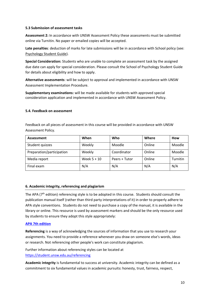# **5.3 Submission of assessment tasks**

**Assessment 2:** In accordance with UNSW Assessment Policy these assessments must be submitted online via Turnitin. No paper or emailed copies will be accepted.

**Late penalties**: deduction of marks for late submissions will be in accordance with School policy (see: [Psychology Student Guide\)](https://moodle.telt.unsw.edu.au/mod/resource/view.php?id=1630526).

**Special Consideration:** Students who are unable to complete an assessment task by the assigned due date can apply for special consideration. Please consult the School of Psychology Student Guide for details about eligibility and how to apply.

**Alternative assessments**: will be subject to approval and implemented in accordance with UNSW Assessment Implementation Procedure.

**Supplementary examinations:** will be made available for students with approved special consideration application and implemented in accordance with UNSW Assessment Policy.

# **5.4. Feedback on assessment**

Feedback on all pieces of assessment in this course will be provided in accordance with UNSW Assessment Policy.

| Assessment                | When          | Who           | Where  | How      |
|---------------------------|---------------|---------------|--------|----------|
| Student quizzes           | Weekly        | Moodle        | Online | Moodle   |
| Preparation/participation | Weekly        | Coordinator   | Online | Moodle   |
| Media report              | Week $5 + 10$ | Peers + Tutor | Online | Turnitin |
| Final exam                | N/A           | N/A           | N/A    | N/A      |

#### **6. Academic integrity, referencing and plagiarism**

The APA (7<sup>th</sup> edition) referencing style is to be adopted in this course. Students should consult the publication manual itself (rather than third party interpretations of it) in order to properly adhere to APA style conventions. Students do not need to purchase a copy of the manual, it is available in the library or online. This resource is used by assessment markers and should be the only resource used by students to ensure they adopt this style appropriately:

#### **[APA 7th](http://www.apastyle.org/manual/index.aspx) edition**

**Referencing** is a way of acknowledging the sources of information that you use to research your assignments. You need to provide a reference whenever you draw on someone else's words, ideas or research. Not referencing other people's work can constitute plagiarism.

Further information about referencing styles can be located at <https://student.unsw.edu.au/referencing>

**Academic integrity** is fundamental to success at university. Academic integrity can be defined as a commitment to six fundamental values in academic pursuits**:** honesty, trust, fairness, respect,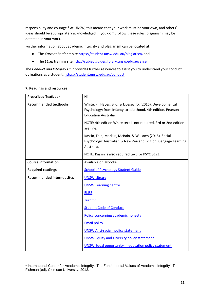responsibility and courage.*<sup>1</sup>* At UNSW, this means that your work must be your own, and others' ideas should be appropriately acknowledged. If you don't follow these rules, plagiarism may be detected in your work.

Further information about academic integrity and **plagiarism** can be located at:

- The *Current Students* site<https://student.unsw.edu.au/plagiarism>*,* and
- The *ELISE* training site http://subjectguides.library.unsw.edu.au/elise

The *Conduct and Integrity Unit* provides further resources to assist you to understand your conduct obligations as a student: [https://student.unsw.edu.au/conduct.](https://student.unsw.edu.au/conduct)

| <b>Prescribed Textbook</b>        | Nil                                                                                                                                                |  |  |
|-----------------------------------|----------------------------------------------------------------------------------------------------------------------------------------------------|--|--|
| <b>Recommended textbooks</b>      | White, F., Hayes, B.K., & Livesey, D. (2016). Developmental<br>Psychology: from Infancy to adulthood, 4th edition. Pearson<br>Education Australia. |  |  |
|                                   | NOTE: 4th edition White text is not required. 3rd or 2nd edition<br>are fine.                                                                      |  |  |
|                                   | Kassin, Fein, Markus, McBain, & Williams (2015). Social<br>Psychology: Australian & New Zealand Edition. Cengage Learning<br>Australia.            |  |  |
|                                   | NOTE: Kassin is also required text for PSYC 3121.                                                                                                  |  |  |
| <b>Course information</b>         | Available on Moodle                                                                                                                                |  |  |
| <b>Required readings</b>          | <b>School of Psychology Student Guide.</b>                                                                                                         |  |  |
| <b>Recommended internet sites</b> | <b>UNSW Library</b>                                                                                                                                |  |  |
|                                   | <b>UNSW Learning centre</b>                                                                                                                        |  |  |
|                                   | <b>ELISE</b>                                                                                                                                       |  |  |
|                                   | <b>Turnitin</b>                                                                                                                                    |  |  |
|                                   | <b>Student Code of Conduct</b>                                                                                                                     |  |  |
|                                   | Policy concerning academic honesty                                                                                                                 |  |  |
|                                   | <b>Email policy</b>                                                                                                                                |  |  |
|                                   | <b>UNSW Anti-racism policy statement</b>                                                                                                           |  |  |
|                                   | <b>UNSW Equity and Diversity policy statement</b>                                                                                                  |  |  |
|                                   | <b>UNSW Equal opportunity in education policy statement</b>                                                                                        |  |  |

# **7. Readings and resources**

<sup>1</sup> International Center for Academic Integrity, 'The Fundamental Values of Academic Integrity', T. Fishman (ed), Clemson University, 2013.